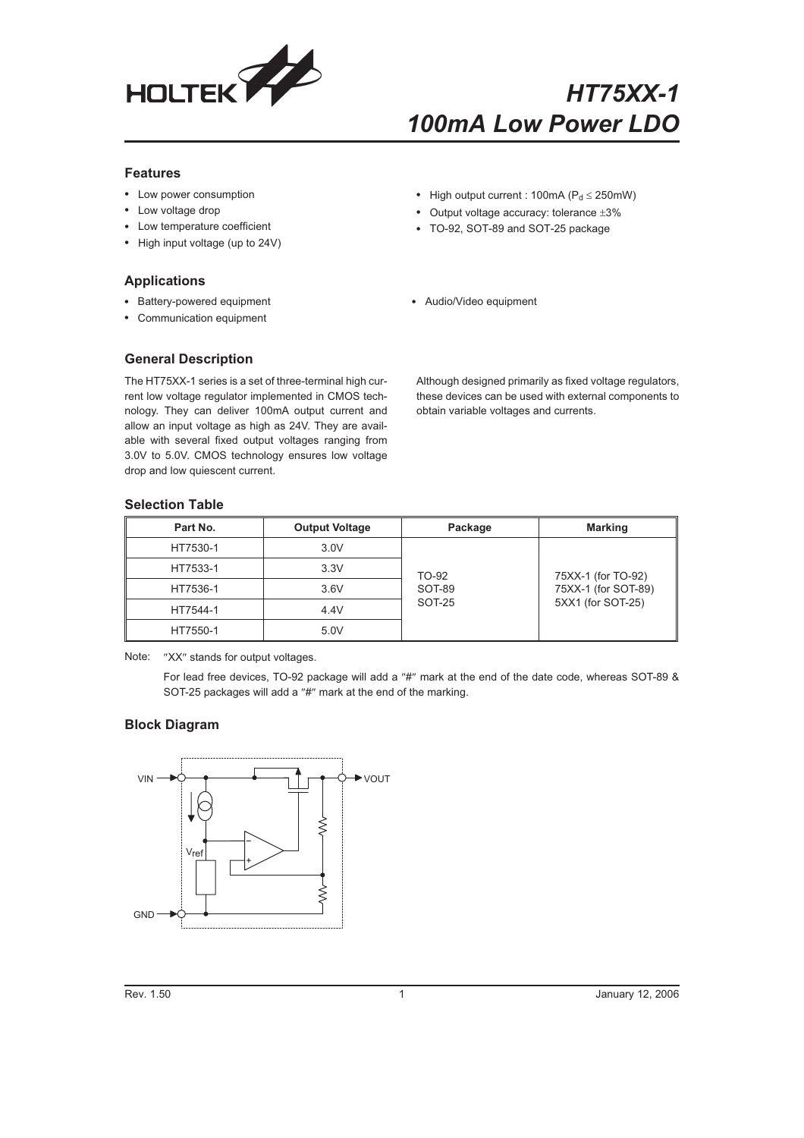

# *HT75XX-1 100mA Low Power LDO*

#### **Features**

- Low power consumption
- Low voltage drop
- Low temperature coefficient
- High input voltage (up to 24V)

#### **Applications**

- Battery-powered equipment
- Communication equipment

#### • High output current : 100mA ( $P_d \le 250$ mW)

- Output voltage accuracy: tolerance  $\pm 3\%$
- TO-92, SOT-89 and SOT-25 package
- Audio/Video equipment

#### **General Description**

The HT75XX-1 series is a set of three-terminal high current low voltage regulator implemented in CMOS technology. They can deliver 100mA output current and allow an input voltage as high as 24V. They are available with several fixed output voltages ranging from 3.0V to 5.0V. CMOS technology ensures low voltage drop and low quiescent current.

Although designed primarily as fixed voltage regulators, these devices can be used with external components to obtain variable voltages and currents.

#### **Selection Table**

| Part No. | <b>Output Voltage</b> | Package | <b>Marking</b>      |  |  |  |  |
|----------|-----------------------|---------|---------------------|--|--|--|--|
| HT7530-1 | 3.0V                  |         |                     |  |  |  |  |
| HT7533-1 | 3.3V                  | TO-92   | 75XX-1 (for TO-92)  |  |  |  |  |
| HT7536-1 | 3.6V                  | SOT-89  | 75XX-1 (for SOT-89) |  |  |  |  |
| HT7544-1 | 4.4V                  | SOT-25  | 5XX1 (for SOT-25)   |  |  |  |  |
| HT7550-1 | 5.0V                  |         |                     |  |  |  |  |

Note: "XX" stands for output voltages.

For lead free devices, TO-92 package will add a "#" mark at the end of the date code, whereas SOT-89 & SOT-25 packages will add a "#" mark at the end of the marking.

#### **Block Diagram**

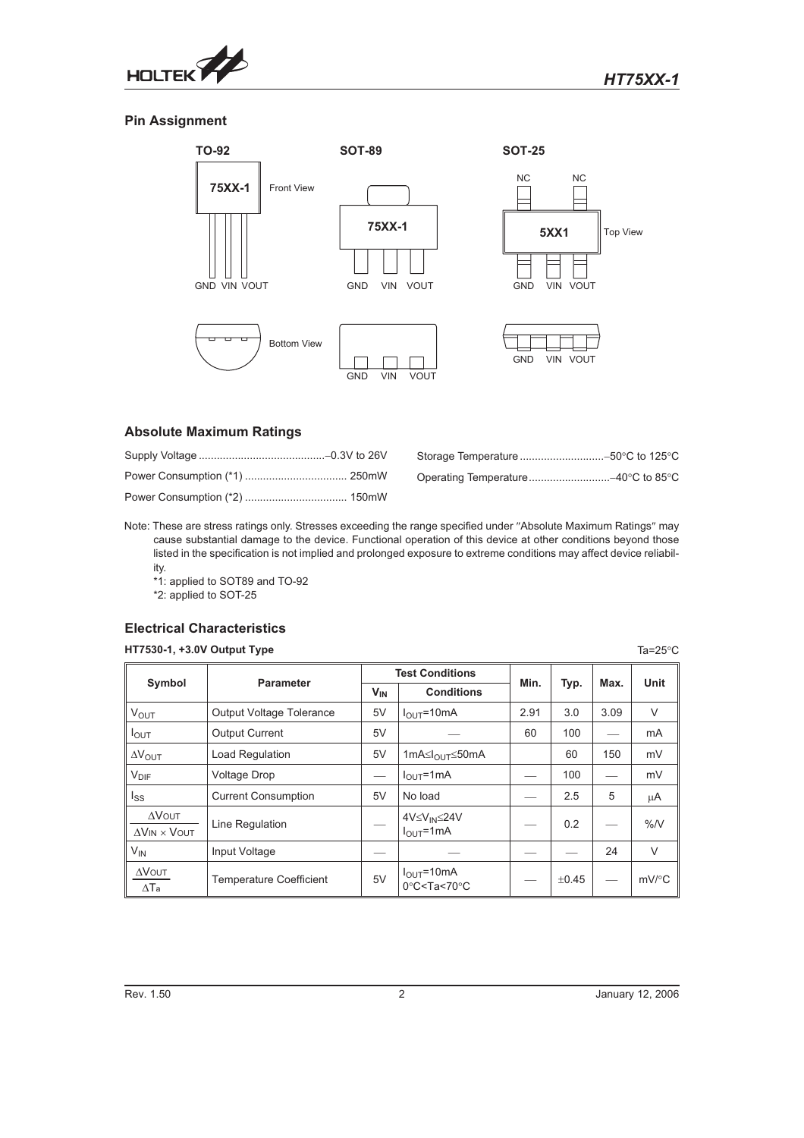

#### **Pin Assignment**



#### **Absolute Maximum Ratings**

Note: These are stress ratings only. Stresses exceeding the range specified under "Absolute Maximum Ratings" may cause substantial damage to the device. Functional operation of this device at other conditions beyond those listed in the specification is not implied and prolonged exposure to extreme conditions may affect device reliability.

\*1: applied to SOT89 and TO-92 \*2: applied to SOT-25

#### **Electrical Characteristics**

#### **HT7530-1, +3.0V Output Type** Ta=25C

| Symbol                                      | <b>Parameter</b>                |                 | <b>Test Conditions</b>                                                     | Min. |            | Max. | <b>Unit</b> |
|---------------------------------------------|---------------------------------|-----------------|----------------------------------------------------------------------------|------|------------|------|-------------|
|                                             |                                 | V <sub>IN</sub> | <b>Conditions</b>                                                          |      | Typ.       |      |             |
| <b>VOUT</b>                                 | <b>Output Voltage Tolerance</b> | 5V              | $I_{OUT}$ =10mA                                                            | 2.91 | 3.0        | 3.09 | V           |
| $I_{\text{OUT}}$                            | <b>Output Current</b>           | 5V              |                                                                            | 60   | 100        |      | mA          |
| $\Delta V_{\text{OUT}}$                     | Load Regulation                 | 5V              | 1mA≤ $I_{\Omega U}$ ⊤≤50mA                                                 |      | 60         | 150  | mV          |
| <b>V<sub>DIF</sub></b>                      | <b>Voltage Drop</b>             |                 | $I_{\text{OUT}}$ =1mA                                                      |      | 100        |      | mV          |
| lss                                         | <b>Current Consumption</b>      | 5V              | No load                                                                    |      | 2.5        | 5    | μA          |
| $\Delta$ VOUT<br>$\Delta$ VIN $\times$ VOUT | Line Regulation                 |                 | 4V≤V <sub>IN</sub> ≤24V<br>$IOLIT=1mA$                                     |      | 0.2        |      | %N          |
| $V_{IN}$                                    | Input Voltage                   |                 |                                                                            |      |            | 24   | $\vee$      |
| $\Delta$ <b>V</b> OUT<br>$\Delta$ Ta        | <b>Temperature Coefficient</b>  | 5V              | $I_{\text{OUT}}$ =10mA<br>$0^{\circ}$ C <ta<70<math>^{\circ}C</ta<70<math> |      | $\pm 0.45$ |      | $mV$ /°C    |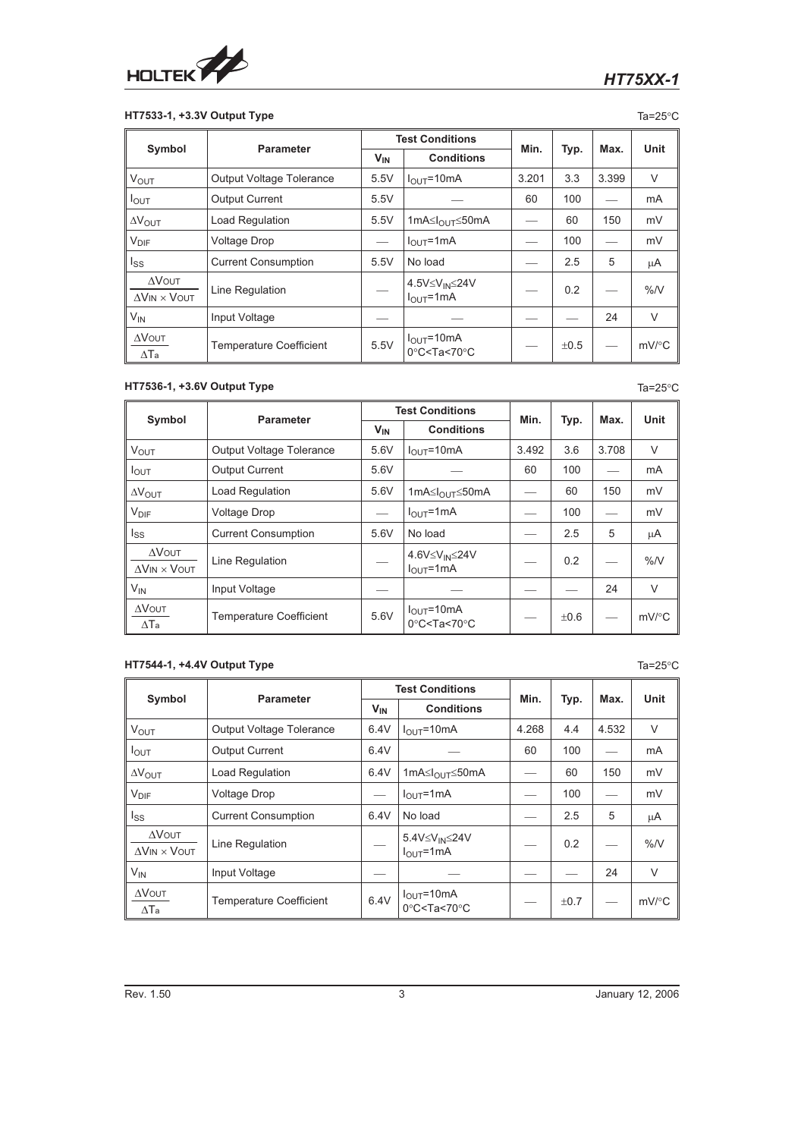

#### **HT7533-1, +3.3V Output Type** Ta=25<sup>°</sup>C

|                                             | Symbol<br><b>Parameter</b>      |          | <b>Test Conditions</b>                                               |       |           | Max.  | Unit     |
|---------------------------------------------|---------------------------------|----------|----------------------------------------------------------------------|-------|-----------|-------|----------|
|                                             |                                 | $V_{IN}$ | <b>Conditions</b>                                                    | Min.  | Typ.      |       |          |
| $V_{OUT}$                                   | <b>Output Voltage Tolerance</b> | 5.5V     | $IOLIT = 10mA$                                                       | 3.201 | 3.3       | 3.399 | $\vee$   |
| $I_{\text{OUT}}$                            | <b>Output Current</b>           | 5.5V     |                                                                      | 60    | 100       |       | mA       |
| <b>AVOUT</b>                                | <b>Load Regulation</b>          | 5.5V     | 1mA≤ $I_{OUT}$ ≤50mA                                                 |       | 60        | 150   | mV       |
| $V_{\text{DIF}}$                            | <b>Voltage Drop</b>             |          | $IOLI = 1 mA$                                                        |       | 100       |       | mV       |
| lss                                         | <b>Current Consumption</b>      | 5.5V     | No load                                                              |       | 2.5       | 5     | μA       |
| $\Delta$ VOUT<br>$\Delta$ VIN $\times$ VOUT | Line Regulation                 |          | 4.5V≤V <sub>IN</sub> ≤24V<br>$I_{OUT}$ =1mA                          |       | 0.2       |       | %N       |
| $V_{IN}$                                    | Input Voltage                   |          |                                                                      |       |           | 24    | $\vee$   |
| $\Delta$ VOUT<br>$\Delta$ Ta                | <b>Temperature Coefficient</b>  | 5.5V     | $I_{OUT} = 10mA$<br>$0^{\circ}$ C <ta<70<math>^{\circ}C</ta<70<math> |       | $\pm 0.5$ |       | $mV$ /°C |

#### **HT7536-1, +3.6V Output Type** Ta=25<sup>°</sup>C

|                                             | <b>Parameter</b>                | <b>Test Conditions</b> |                                                                            | Min.  |           | Max.  | <b>Unit</b>         |
|---------------------------------------------|---------------------------------|------------------------|----------------------------------------------------------------------------|-------|-----------|-------|---------------------|
| Symbol                                      |                                 | $V_{IN}$               | <b>Conditions</b>                                                          |       | Typ.      |       |                     |
| <b>V<sub>OUT</sub></b>                      | <b>Output Voltage Tolerance</b> | 5.6V                   | $I_{\text{OUT}} = 10 \text{mA}$                                            | 3.492 | 3.6       | 3.708 | $\vee$              |
| $I_{\text{OUT}}$                            | <b>Output Current</b>           | 5.6V                   |                                                                            | 60    | 100       |       | m <sub>A</sub>      |
| $\Delta V_{\text{OUT}}$                     | <b>Load Regulation</b>          | 5.6V                   | 1mA≤ $I_{\Omega U}$ ⊤≤50mA                                                 |       | 60        | 150   | mV                  |
| $V_{\text{DIF}}$                            | <b>Voltage Drop</b>             | --                     | $I_{OUT}$ =1mA                                                             |       | 100       |       | mV                  |
| lss                                         | <b>Current Consumption</b>      | 5.6V                   | No load                                                                    |       | 2.5       | 5     | μA                  |
| $\Delta$ VOUT<br>$\Delta$ VIN $\times$ VOUT | Line Regulation                 |                        | 4.6V≤V <sub>IN</sub> ≤24V<br>$I_{OIII} = 1 mA$                             |       | 0.2       |       | %N                  |
| $V_{IN}$                                    | Input Voltage                   |                        |                                                                            |       |           | 24    | $\vee$              |
| $\Delta$ VOUT<br>$\Delta$ Ta                | <b>Temperature Coefficient</b>  | 5.6V                   | $I_{\text{OUT}}$ =10mA<br>$0^{\circ}$ C <ta<70<math>^{\circ}C</ta<70<math> |       | $\pm 0.6$ |       | $mV$ <sup>o</sup> C |

# **HT7544-1, +4.4V Output Type** Ta=25°C

| Symbol<br><b>Parameter</b>                  |                                 | <b>Test Conditions</b> |                                                                                     | Min.  |      | Max.  | Unit                |
|---------------------------------------------|---------------------------------|------------------------|-------------------------------------------------------------------------------------|-------|------|-------|---------------------|
|                                             |                                 | <b>V<sub>IN</sub></b>  | <b>Conditions</b>                                                                   |       | Typ. |       |                     |
| $V_{\text{OUT}}$                            | <b>Output Voltage Tolerance</b> | 6.4V                   | $I_{OUT} = 10mA$                                                                    | 4.268 | 4.4  | 4.532 | $\vee$              |
| $I_{\text{OUT}}$                            | <b>Output Current</b>           | 6.4V                   |                                                                                     | 60    | 100  |       | mA                  |
| $\Delta V_{OUIT}$                           | <b>Load Regulation</b>          | 6.4V                   | 1mA $\leq$ <sub>OUT</sub> $\leq$ 50mA                                               |       | 60   | 150   | mV                  |
| $V_{\text{DIF}}$                            | <b>Voltage Drop</b>             |                        | $IOLIT=1mA$                                                                         |       | 100  |       | mV                  |
| lss                                         | <b>Current Consumption</b>      | 6.4V                   | No load                                                                             |       | 2.5  | 5     | μA                  |
| $\Delta$ VOUT<br>$\Delta$ VIN $\times$ VOUT | Line Regulation                 |                        | 5.4V≤V <sub>IN</sub> ≤24V<br>$IOLI = 1 mA$                                          |       | 0.2  |       | %N                  |
| $V_{IN}$                                    | Input Voltage                   |                        |                                                                                     |       |      | 24    | $\vee$              |
| $\Delta$ VOUT<br>$\Delta$ Ta                | <b>Temperature Coefficient</b>  | 6.4V                   | $I_{\text{OUT}} = 10 \text{mA}$<br>$0^{\circ}$ C <ta<70<math>^{\circ}C</ta<70<math> |       | ±0.7 |       | $mV$ <sup>o</sup> C |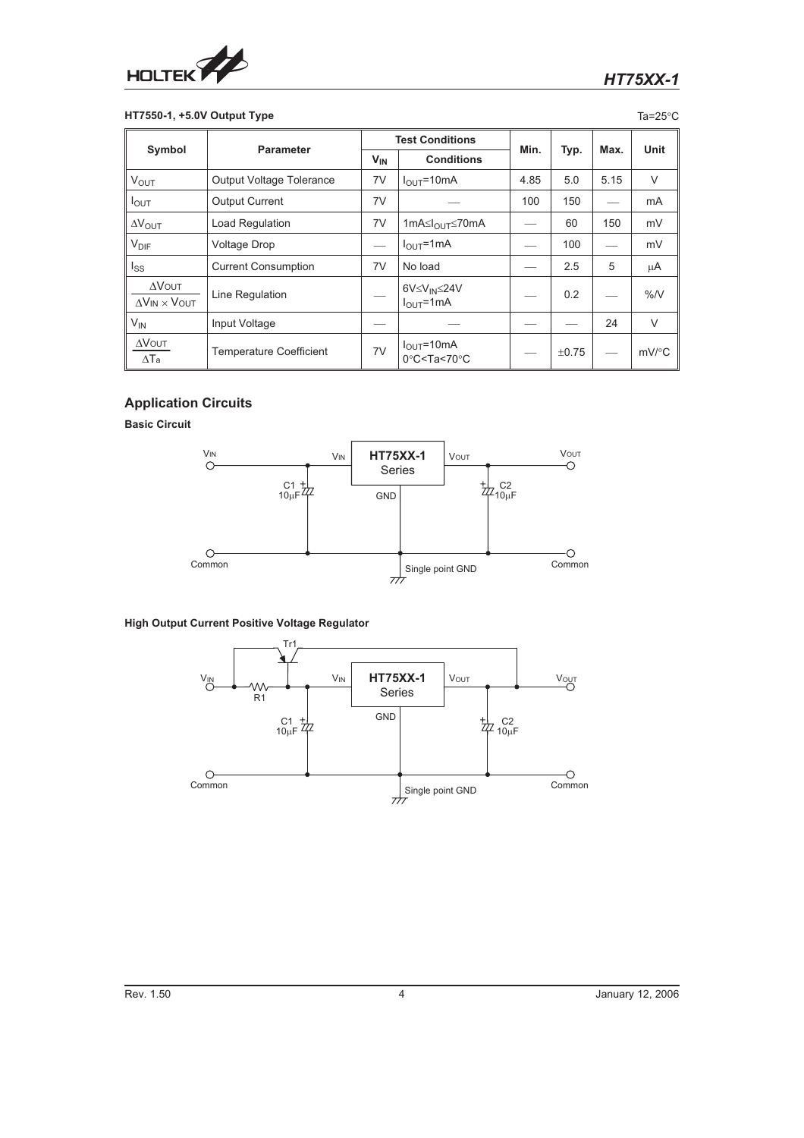

# **HT7550-1, +5.0V Output Type** Tamps of the Control of the Control of Tamps of Tamps of Tamps of Tamps of Tamps of Tamps of Tamps of Tamps of Tamps of Tamps of Tamps of Tamps of Tamps of Tamps of Tamps of Tamps of Tamps of

|                                             | <b>Parameter</b>                |          | <b>Test Conditions</b>                                                     |      |            |      |                     |
|---------------------------------------------|---------------------------------|----------|----------------------------------------------------------------------------|------|------------|------|---------------------|
| Symbol                                      |                                 | $V_{IN}$ | <b>Conditions</b>                                                          | Min. | Typ.       | Max. | Unit                |
| <b>V<sub>OUT</sub></b>                      | <b>Output Voltage Tolerance</b> | 7V       | $I_{OUT} = 10mA$                                                           | 4.85 | 5.0        | 5.15 | $\vee$              |
| I <sub>OUT</sub>                            | <b>Output Current</b>           | 7V       |                                                                            | 100  | 150        |      | mA                  |
| $\Delta V_{\text{OUT}}$                     | <b>Load Regulation</b>          | 7V       | 1mA≤I <sub>OUT</sub> ≤70mA                                                 |      | 60         | 150  | mV                  |
| $V_{\text{DIF}}$                            | <b>Voltage Drop</b>             |          | $I_{OUT}$ =1mA                                                             |      | 100        |      | mV                  |
| Iss                                         | <b>Current Consumption</b>      | 7V       | No load                                                                    |      | 2.5        | 5    | μA                  |
| $\Delta$ VOUT<br>$\Delta$ VIN $\times$ VOUT | Line Regulation                 |          | 6V≤V <sub>IN</sub> ≤24V<br>$IOLI = 1 mA$                                   |      | 0.2        |      | %N                  |
| V <sub>IN</sub>                             | Input Voltage                   |          |                                                                            |      |            | 24   | $\vee$              |
| $\Delta$ VOUT<br>$\Delta$ Ta                | <b>Temperature Coefficient</b>  | 7V       | $I_{\text{OUT}}$ =10mA<br>$0^{\circ}$ C <ta<70<math>^{\circ}C</ta<70<math> |      | $\pm 0.75$ |      | $mV$ <sup>o</sup> C |

# **Application Circuits**

**Basic Circuit**



#### **High Output Current Positive Voltage Regulator**

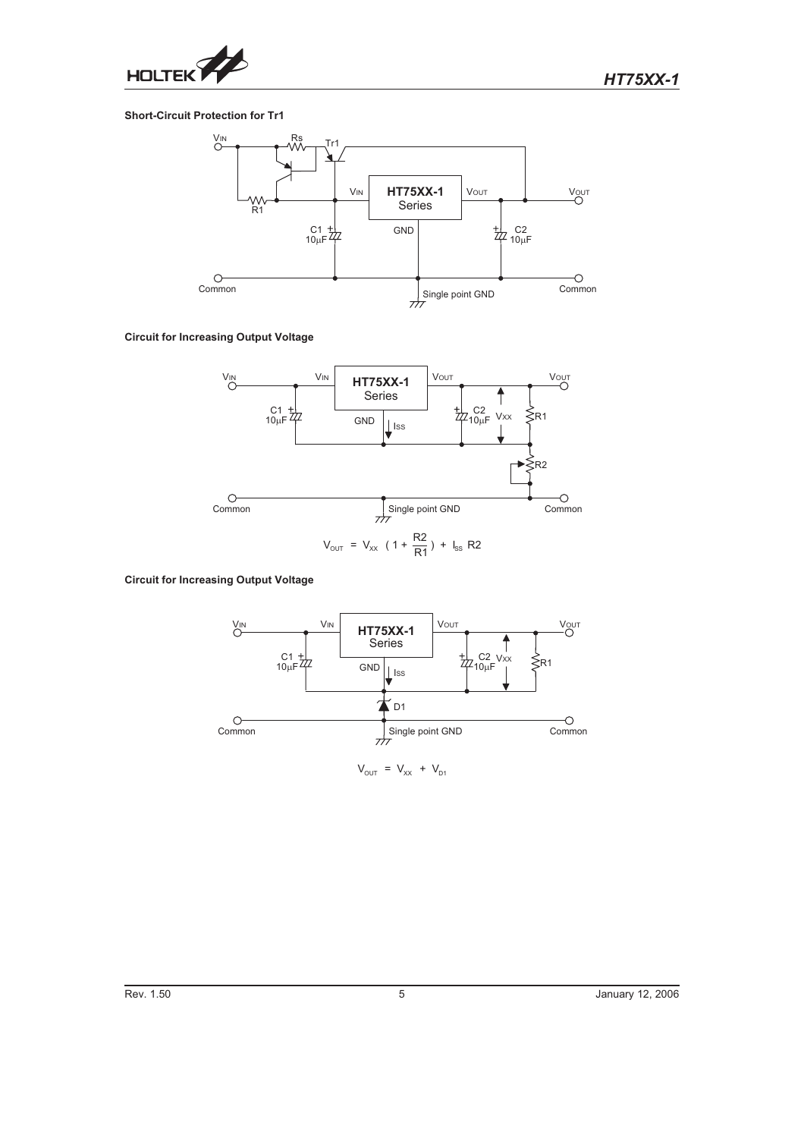

#### **Short-Circuit Protection for Tr1**



**Circuit for Increasing Output Voltage**



**Circuit for Increasing Output Voltage**



 $V_{\text{OUT}} = V_{\text{XX}} + V_{\text{DI}}$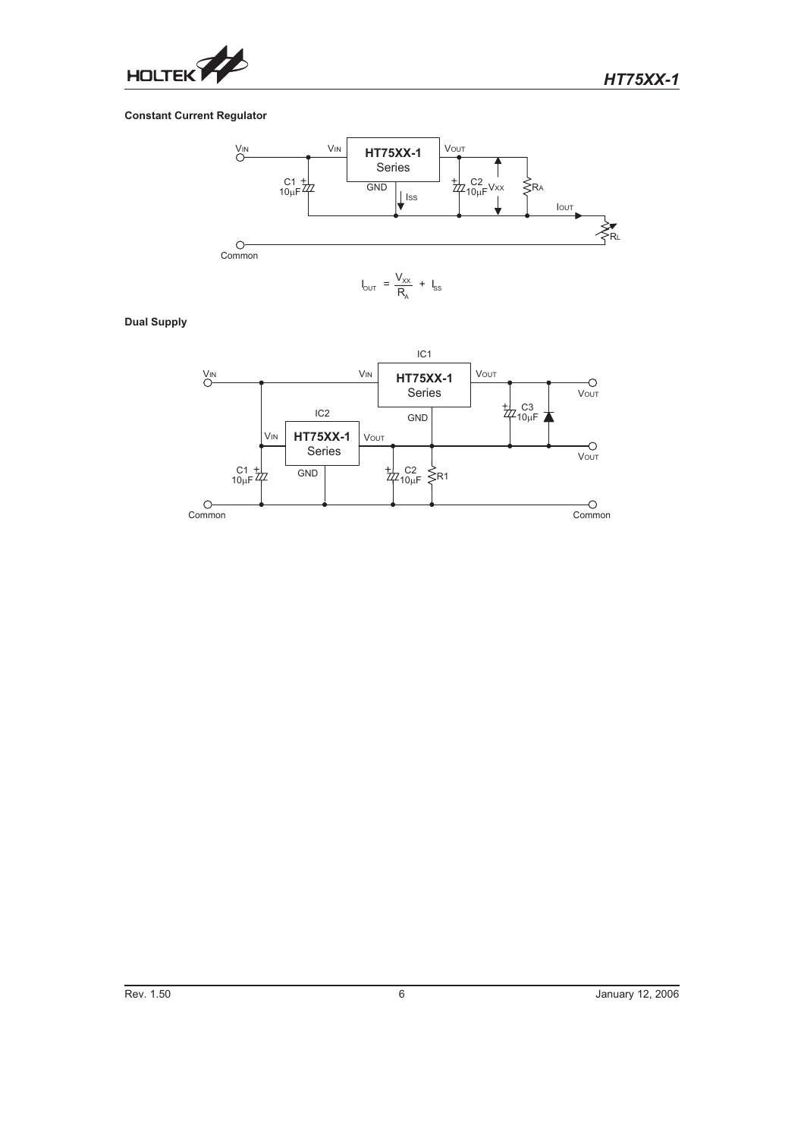

#### **Constant Current Regulator**



#### **Dual Supply**

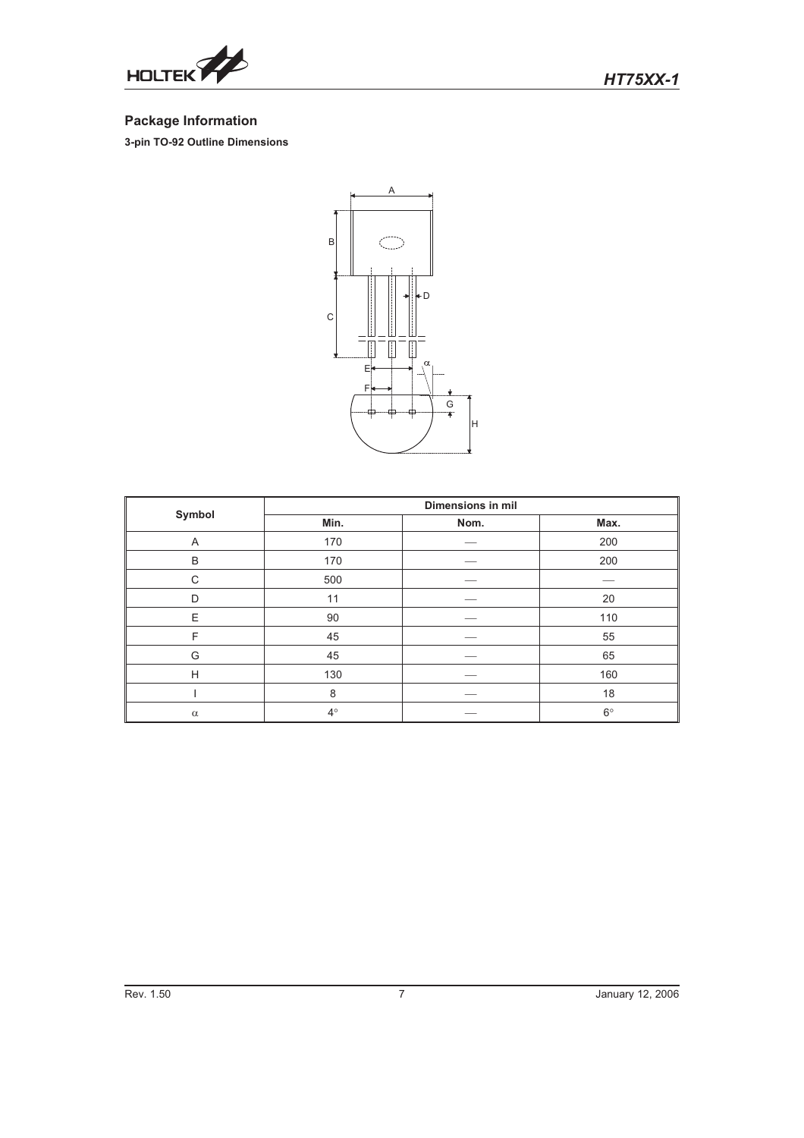

# **Package Information**

**3-pin TO-92 Outline Dimensions**



|          | <b>Dimensions in mil</b> |      |             |  |  |
|----------|--------------------------|------|-------------|--|--|
| Symbol   | Min.                     | Nom. | Max.        |  |  |
| A        | 170                      |      | 200         |  |  |
| B        | 170                      |      | 200         |  |  |
| C        | 500                      |      |             |  |  |
| D        | 11                       |      | 20          |  |  |
| E        | 90                       |      | 110         |  |  |
| F        | 45                       |      | 55          |  |  |
| G        | 45                       |      | 65          |  |  |
| H        | 130                      |      | 160         |  |  |
|          | 8                        |      | 18          |  |  |
| $\alpha$ | $4^{\circ}$              |      | $6^{\circ}$ |  |  |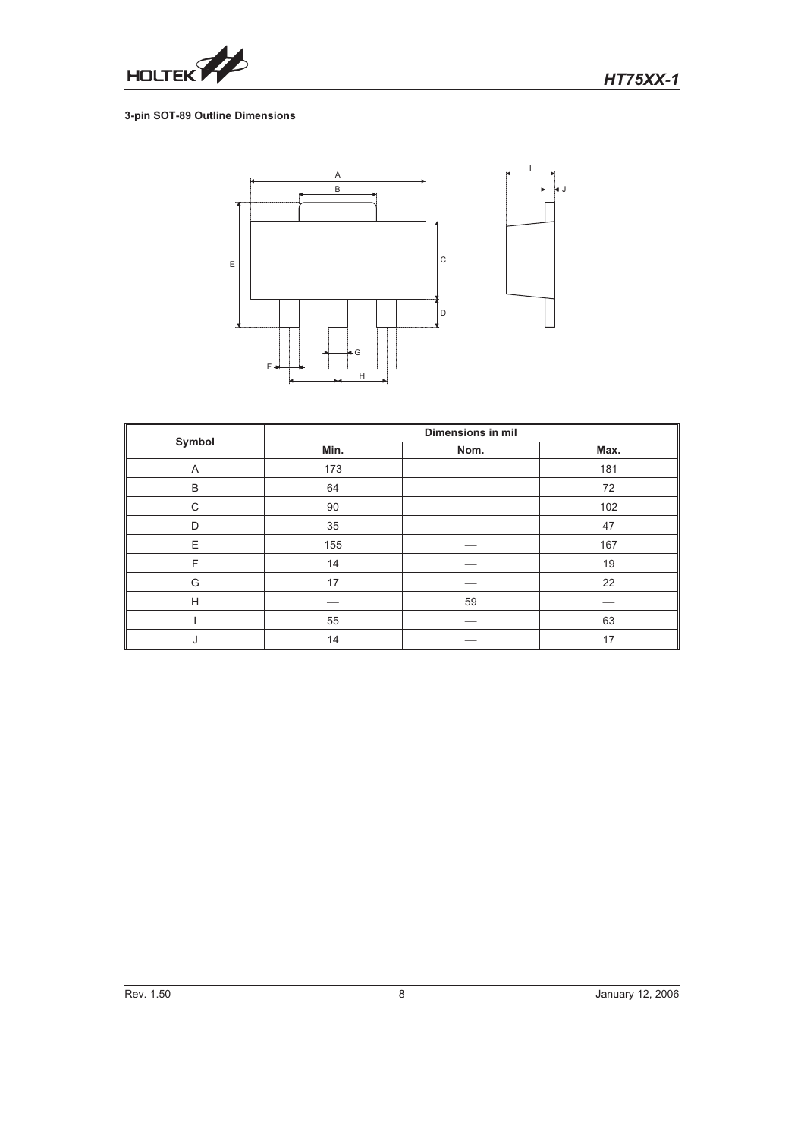

#### **3-pin SOT-89 Outline Dimensions**



|        | <b>Dimensions in mil</b> |      |      |  |  |
|--------|--------------------------|------|------|--|--|
| Symbol | Min.                     | Nom. | Max. |  |  |
| Α      | 173                      |      | 181  |  |  |
| B      | 64                       |      | 72   |  |  |
| C      | 90                       |      | 102  |  |  |
| D      | 35                       |      | 47   |  |  |
| E      | 155                      |      | 167  |  |  |
| F      | 14                       |      | 19   |  |  |
| G      | 17                       |      | 22   |  |  |
| H      |                          | 59   |      |  |  |
|        | 55                       |      | 63   |  |  |
| J      | 14                       |      | 17   |  |  |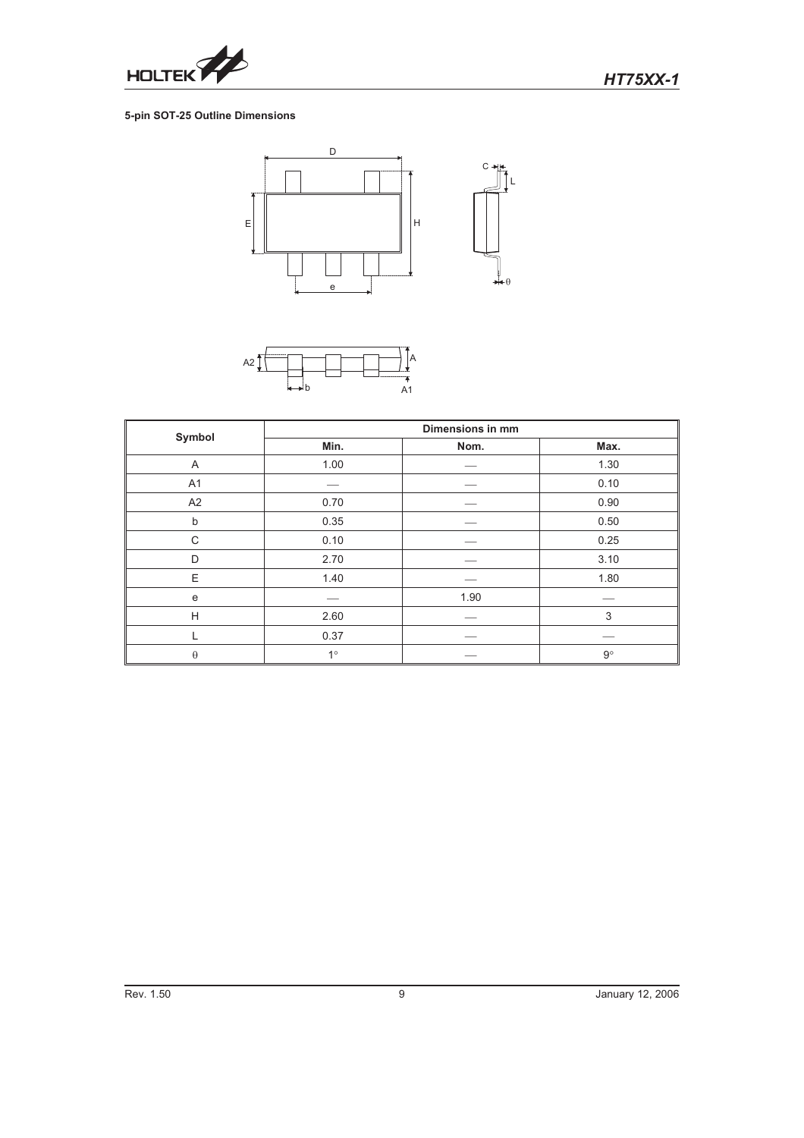

#### **5-pin SOT-25 Outline Dimensions**





|          | <b>Dimensions in mm</b> |      |             |  |  |
|----------|-------------------------|------|-------------|--|--|
| Symbol   | Min.                    | Nom. | Max.        |  |  |
| A        | 1.00                    |      | 1.30        |  |  |
| A1       |                         |      | 0.10        |  |  |
| A2       | 0.70                    |      | 0.90        |  |  |
| b        | 0.35                    |      | 0.50        |  |  |
| C        | 0.10                    |      | 0.25        |  |  |
| D        | 2.70                    |      | 3.10        |  |  |
| E.       | 1.40                    |      | 1.80        |  |  |
| e        |                         | 1.90 |             |  |  |
| H        | 2.60                    |      | 3           |  |  |
|          | 0.37                    |      |             |  |  |
| $\theta$ | $1^{\circ}$             |      | $9^{\circ}$ |  |  |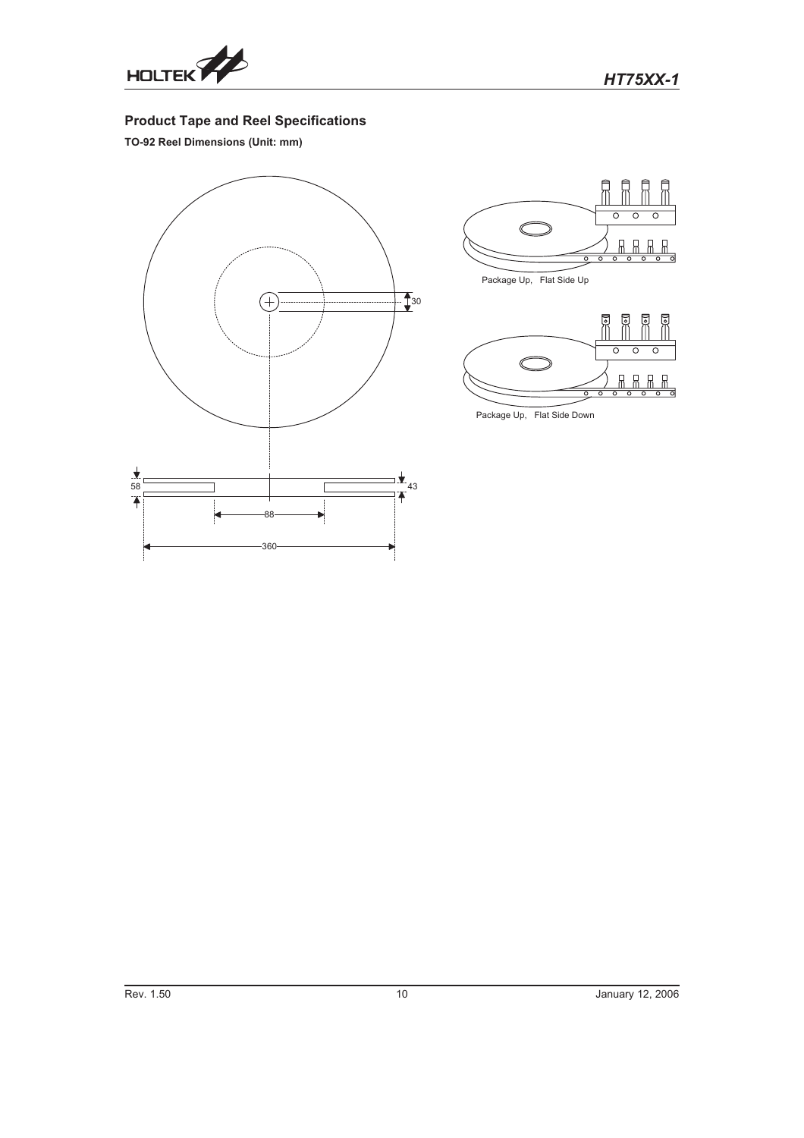

# **Product Tape and Reel Specifications**

**TO-92 Reel Dimensions (Unit: mm)**







Package Up, Flat Side Dow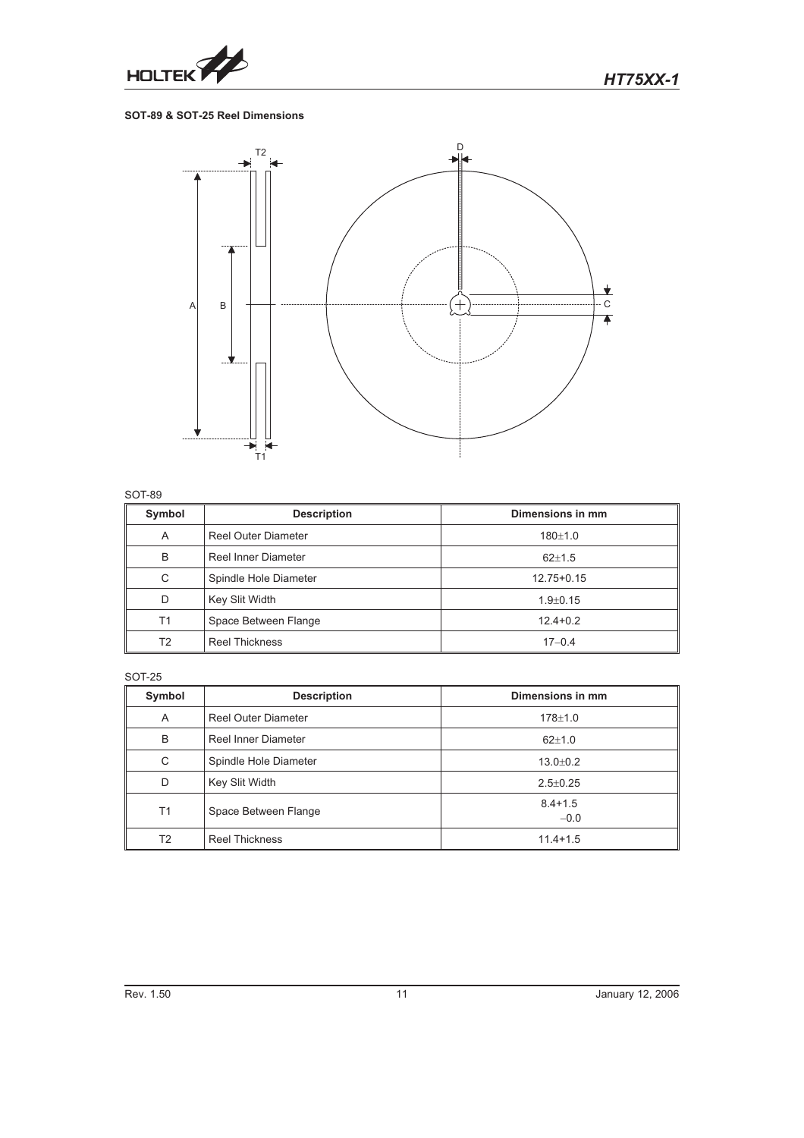

#### **SOT-89 & SOT-25 Reel Dimensions**



#### SOT-89

| Symbol         | <b>Description</b>         | Dimensions in mm |
|----------------|----------------------------|------------------|
| A              | <b>Reel Outer Diameter</b> | $180 + 1.0$      |
| B              | <b>Reel Inner Diameter</b> | $62 \pm 1.5$     |
| C              | Spindle Hole Diameter      | $12.75 + 0.15$   |
| D              | Key Slit Width             | $1.9 + 0.15$     |
| T1             | Space Between Flange       | $12.4 + 0.2$     |
| T <sub>2</sub> | <b>Reel Thickness</b>      | $17 - 0.4$       |

#### SOT-25

| Symbol         | <b>Description</b>    | Dimensions in mm      |
|----------------|-----------------------|-----------------------|
| A              | Reel Outer Diameter   | $178 + 1.0$           |
| B              | Reel Inner Diameter   | $62 \pm 1.0$          |
| C              | Spindle Hole Diameter | $13.0 \pm 0.2$        |
| D              | Key Slit Width        | $2.5 \pm 0.25$        |
| T1             | Space Between Flange  | $8.4 + 1.5$<br>$-0.0$ |
| T <sub>2</sub> | <b>Reel Thickness</b> | $11.4 + 1.5$          |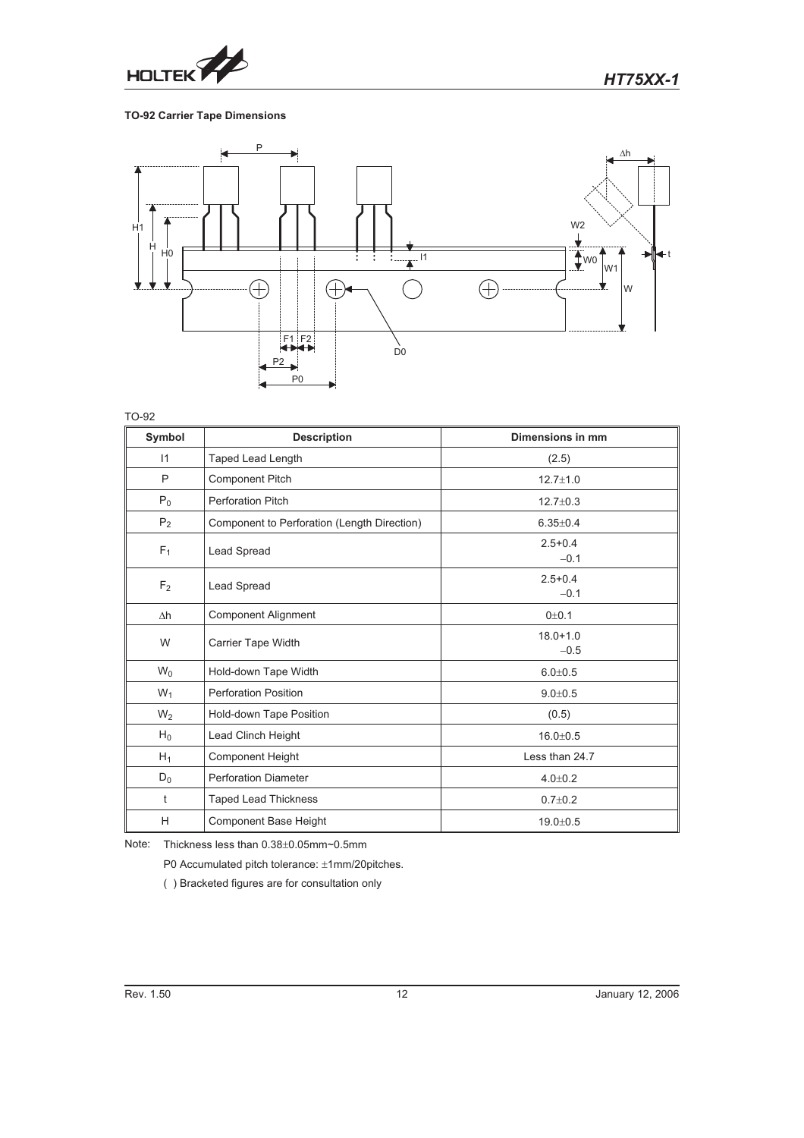

# **TO-92 Carrier Tape Dimensions**



TO-92

| Symbol         | <b>Description</b>                          | Dimensions in mm       |
|----------------|---------------------------------------------|------------------------|
| 11             | Taped Lead Length                           | (2.5)                  |
| P              | <b>Component Pitch</b>                      | $12.7 \pm 1.0$         |
| $P_0$          | <b>Perforation Pitch</b>                    | $12.7 \pm 0.3$         |
| P <sub>2</sub> | Component to Perforation (Length Direction) | $6.35 + 0.4$           |
| $F_1$          | Lead Spread                                 | $2.5 + 0.4$<br>$-0.1$  |
| F <sub>2</sub> | Lead Spread                                 | $2.5 + 0.4$<br>$-0.1$  |
| $\Delta h$     | <b>Component Alignment</b>                  | 0 <sub>±</sub> 0.1     |
| W              | Carrier Tape Width                          | $18.0 + 1.0$<br>$-0.5$ |
| $W_0$          | Hold-down Tape Width                        | $6.0 + 0.5$            |
| $W_1$          | <b>Perforation Position</b>                 | $9.0 + 0.5$            |
| $W_2$          | Hold-down Tape Position                     | (0.5)                  |
| $H_0$          | Lead Clinch Height                          | $16.0 + 0.5$           |
| $H_1$          | <b>Component Height</b>                     | Less than 24.7         |
| $D_0$          | <b>Perforation Diameter</b>                 | $4.0 \pm 0.2$          |
| t              | <b>Taped Lead Thickness</b>                 | $0.7 \pm 0.2$          |
| H              | <b>Component Base Height</b>                | $19.0 \pm 0.5$         |

Note: Thickness less than  $0.38\pm0.05$ mm~0.5mm

P0 Accumulated pitch tolerance: ±1mm/20pitches.

( ) Bracketed figures are for consultation only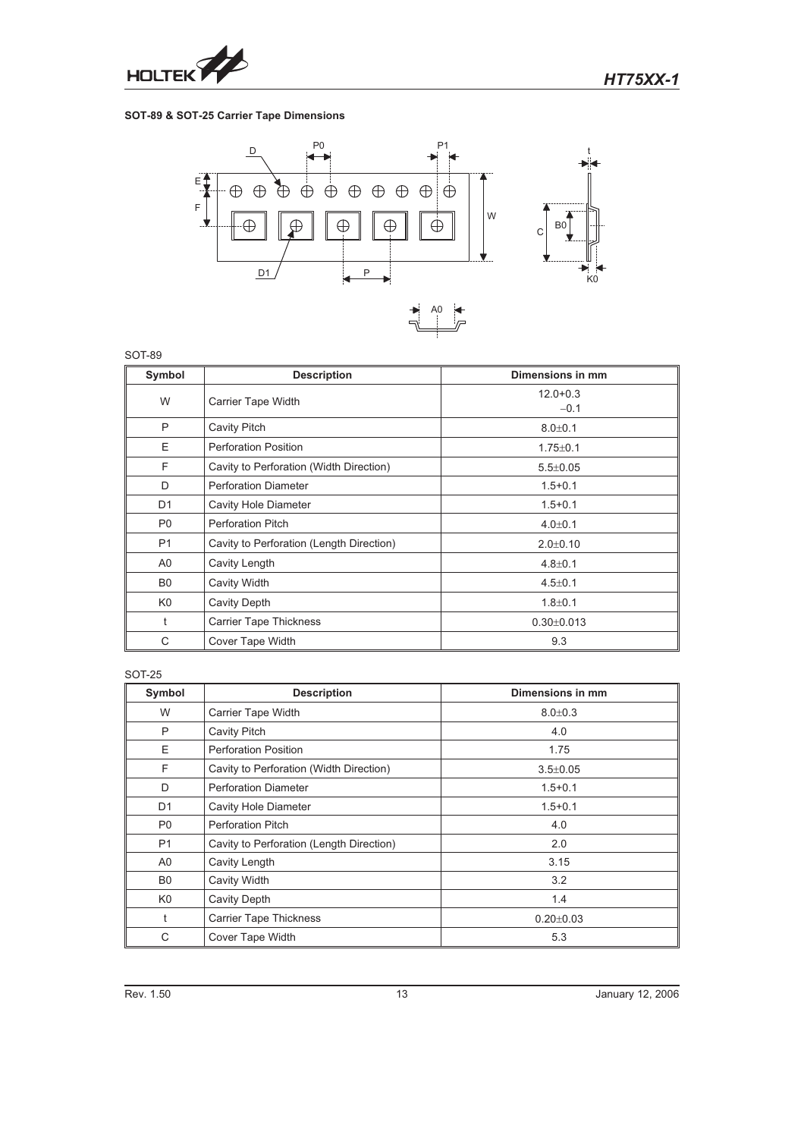

#### **SOT-89 & SOT-25 Carrier Tape Dimensions**



SOT-89

| Symbol         | <b>Description</b>                       | Dimensions in mm       |
|----------------|------------------------------------------|------------------------|
| W              | Carrier Tape Width                       | $12.0 + 0.3$<br>$-0.1$ |
| P              | Cavity Pitch                             | $8.0 + 0.1$            |
| E              | <b>Perforation Position</b>              | $1.75 \pm 0.1$         |
| F              | Cavity to Perforation (Width Direction)  | $5.5 \pm 0.05$         |
| D              | <b>Perforation Diameter</b>              | $1.5 + 0.1$            |
| D <sub>1</sub> | Cavity Hole Diameter                     | $1.5 + 0.1$            |
| P <sub>0</sub> | <b>Perforation Pitch</b>                 | $4.0 \pm 0.1$          |
| P <sub>1</sub> | Cavity to Perforation (Length Direction) | $2.0 \pm 0.10$         |
| A0             | Cavity Length                            | $4.8 \pm 0.1$          |
| B <sub>0</sub> | Cavity Width                             | $4.5 \pm 0.1$          |
| K <sub>0</sub> | Cavity Depth                             | $1.8 + 0.1$            |
| t              | <b>Carrier Tape Thickness</b>            | $0.30 \pm 0.013$       |
| C              | Cover Tape Width                         | 9.3                    |

#### SOT-25

| Symbol         | <b>Description</b>                       | Dimensions in mm |
|----------------|------------------------------------------|------------------|
| W              | Carrier Tape Width                       | $8.0 + 0.3$      |
| P              | <b>Cavity Pitch</b>                      | 4.0              |
| E              | <b>Perforation Position</b>              | 1.75             |
| F              | Cavity to Perforation (Width Direction)  | $3.5 \pm 0.05$   |
| D              | <b>Perforation Diameter</b>              | $1.5 + 0.1$      |
| D <sub>1</sub> | Cavity Hole Diameter                     | $1.5 + 0.1$      |
| P <sub>0</sub> | <b>Perforation Pitch</b>                 | 4.0              |
| P1             | Cavity to Perforation (Length Direction) | 2.0              |
| A <sub>0</sub> | Cavity Length                            | 3.15             |
| B <sub>0</sub> | Cavity Width                             | 3.2              |
| K <sub>0</sub> | <b>Cavity Depth</b>                      | 1.4              |
| t              | <b>Carrier Tape Thickness</b>            | $0.20 \pm 0.03$  |
| C              | Cover Tape Width                         | 5.3              |